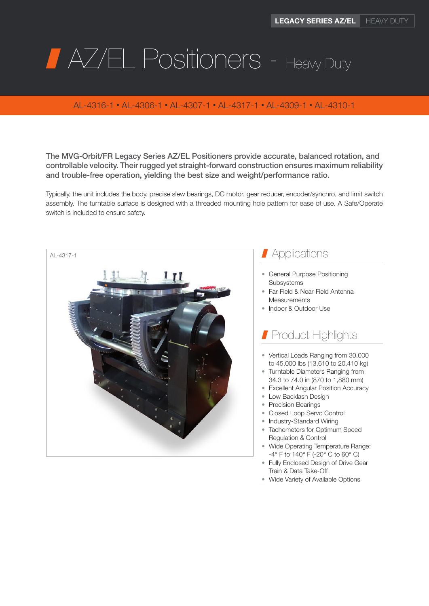# **AZ/EL Positioners - Heavy Duty**

#### AL-4316-1 • AL-4306-1 • AL-4307-1 • AL-4317-1 • AL-4309-1 • AL-4310-1

The MVG-Orbit/FR Legacy Series AZ/EL Positioners provide accurate, balanced rotation, and controllable velocity. Their rugged yet straight-forward construction ensures maximum reliability and trouble-free operation, yielding the best size and weight/performance ratio.

Typically, the unit includes the body, precise slew bearings, DC motor, gear reducer, encoder/synchro, and limit switch assembly. The turntable surface is designed with a threaded mounting hole pattern for ease of use. A Safe/Operate switch is included to ensure safety.



### **Applications**

- General Purpose Positioning **Subsystems**
- Far-Field & Near-Field Antenna Measurements
- Indoor & Outdoor Use

## Product Highlights

- Vertical Loads Ranging from 30,000 to 45,000 lbs (13,610 to 20,410 kg)
- Turntable Diameters Ranging from 34.3 to 74.0 in (870 to 1,880 mm)
- Excellent Angular Position Accuracy
- Low Backlash Design
- Precision Bearings
- Closed Loop Servo Control
- Industry-Standard Wiring
- Tachometers for Optimum Speed Regulation & Control
- Wide Operating Temperature Range: -4° F to 140° F (-20° C to 60° C)
- Fully Enclosed Design of Drive Gear Train & Data Take-Off
- Wide Variety of Available Options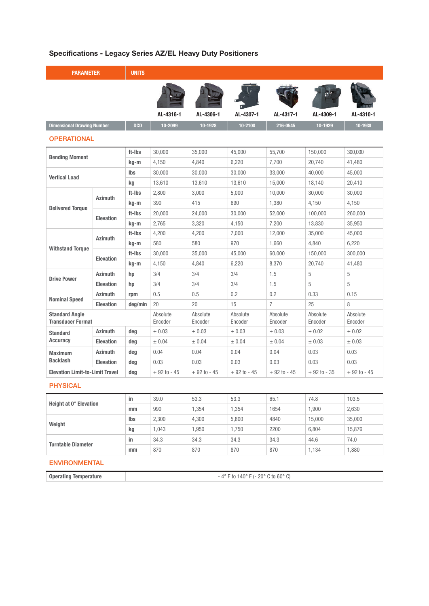#### Specifications - Legacy Series AZ/EL Heavy Duty Positioners

| <b>PARAMETER</b>                                  |                  | <b>UNITS</b> |                     |                     |                     |                     |                     |                     |
|---------------------------------------------------|------------------|--------------|---------------------|---------------------|---------------------|---------------------|---------------------|---------------------|
|                                                   |                  |              | AL-4316-1           | AL-4306-1           | AL-4307-1           | AL-4317-1           | AL-4309-1           | AL-4310-1           |
| <b>Dimensional Drawing Number</b>                 |                  | <b>DCD</b>   | 10-2099             | 10-1928             | 10-2100             | 216-0545            | 10-1929             | 10-1930             |
| <b>OPERATIONAL</b>                                |                  |              |                     |                     |                     |                     |                     |                     |
| <b>Bending Moment</b>                             |                  | ft-Ibs       | 30,000              | 35,000              | 45,000              | 55,700              | 150,000             | 300,000             |
|                                                   |                  | kg-m         | 4.150               | 4.840               | 6,220               | 7.700               | 20.740              | 41,480              |
| <b>Vertical Load</b>                              |                  | <b>lbs</b>   | 30,000              | 30,000              | 30,000              | 33,000              | 40,000              | 45,000              |
|                                                   |                  | kg           | 13,610              | 13,610              | 13,610              | 15,000              | 18,140              | 20,410              |
|                                                   | <b>Azimuth</b>   | ft-Ibs       | 2.800               | 3.000               | 5.000               | 10,000              | 30,000              | 30,000              |
| <b>Delivered Toraue</b>                           |                  | kg-m         | 390                 | 415                 | 690                 | 1,380               | 4,150               | 4,150               |
|                                                   | <b>Elevation</b> | ft-Ibs       | 20.000              | 24.000              | 30,000              | 52,000              | 100.000             | 260,000             |
|                                                   |                  | kg-m         | 2.765               | 3.320               | 4.150               | 7,200               | 13.830              | 35,950              |
|                                                   |                  | ft-Ibs       | 4,200               | 4,200               | 7,000               | 12,000              | 35,000              | 45,000              |
|                                                   | <b>Azimuth</b>   | kg-m         | 580                 | 580                 | 970                 | 1,660               | 4,840               | 6,220               |
| <b>Withstand Torque</b>                           | <b>Elevation</b> | ft-Ibs       | 30.000              | 35.000              | 45.000              | 60,000              | 150,000             | 300.000             |
|                                                   |                  | kg-m         | 4,150               | 4,840               | 6,220               | 8,370               | 20,740              | 41,480              |
|                                                   | <b>Azimuth</b>   | hp           | 3/4                 | 3/4                 | 3/4                 | 1.5                 | 5                   | 5                   |
| <b>Drive Power</b>                                | <b>Elevation</b> | hp           | 3/4                 | 3/4                 | 3/4                 | 1.5                 | 5                   | 5                   |
|                                                   | <b>Azimuth</b>   | rpm          | 0.5                 | 0.5                 | 0.2                 | 0.2                 | 0.33                | 0.15                |
| <b>Nominal Speed</b>                              | <b>Elevation</b> | deg/min      | 20                  | 20                  | 15                  | $\overline{7}$      | 25                  | 8                   |
| <b>Standard Angle</b><br><b>Transducer Format</b> |                  |              | Absolute<br>Encoder | Absolute<br>Encoder | Absolute<br>Encoder | Absolute<br>Encoder | Absolute<br>Encoder | Absolute<br>Encoder |
| <b>Standard</b>                                   | <b>Azimuth</b>   | deg          | ± 0.03              | ± 0.03              | ± 0.03              | ± 0.03              | ± 0.02              | ± 0.02              |
| <b>Accuracy</b>                                   | <b>Elevation</b> | deg          | ± 0.04              | ± 0.04              | ± 0.04              | ± 0.04              | ± 0.03              | ± 0.03              |
| <b>Maximum</b>                                    | <b>Azimuth</b>   | deg          | 0.04                | 0.04                | 0.04                | 0.04                | 0.03                | 0.03                |
| <b>Backlash</b>                                   | <b>Elevation</b> | deg          | 0.03                | 0.03                | 0.03                | 0.03                | 0.03                | 0.03                |
| <b>Elevation Limit-to-Limit Travel</b>            |                  | deg          | $+92$ to $-45$      | $+92$ to -45        | $+92$ to $-45$      | $+92$ to $-45$      | $+92$ to - 35       | $+92$ to $-45$      |

#### PHYSICAL

|                           | in  | 39.0  | 53.3  | 53.3  | 65.1 | 74.8   | 103.5  |
|---------------------------|-----|-------|-------|-------|------|--------|--------|
| Height at 0° Elevation    | mm  | 990   | .354  | .354  | 1654 | .900   | 2,630  |
|                           | lbs | 2,300 | 4.300 | 5,800 | 4840 | 15,000 | 35,000 |
| Weight                    | kg  | 1,043 | .950  | .750  | 2200 | 6,804  | 15,876 |
| <b>Turntable Diameter</b> | in  | 34.3  | 34.3  | 34.3  | 34.3 | 44.6   | 74.0   |
|                           | mm  | 870   | 870   | 870   | 870  | 1.134  | 088,1  |

#### ENVIRONMENTAL

|--|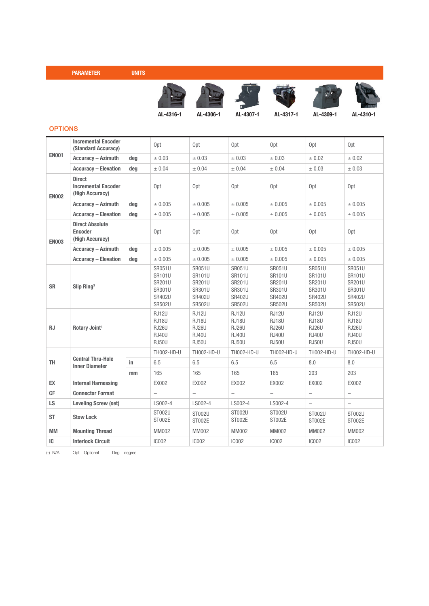| <b>PARAMETER</b> | <b>UNITS</b> |
|------------------|--------------|
|                  |              |













AL-4316-1 AL-4306-1 AL-4307-1 AL-4317-1 AL-4309-1 AL-4310-1

#### **OPTIONS**

| <b>EN001</b> | <b>Incremental Encoder</b><br>(Standard Accuracy)              |     | Opt                                                                                  | Opt                                                                                  | Opt                                                                    | Opt                                                                                         | Opt                                                                                  | Opt                                                                          |
|--------------|----------------------------------------------------------------|-----|--------------------------------------------------------------------------------------|--------------------------------------------------------------------------------------|------------------------------------------------------------------------|---------------------------------------------------------------------------------------------|--------------------------------------------------------------------------------------|------------------------------------------------------------------------------|
|              | <b>Accuracy - Azimuth</b>                                      | deg | ± 0.03                                                                               | ± 0.03                                                                               | ± 0.03                                                                 | ± 0.03                                                                                      | ± 0.02                                                                               | ± 0.02                                                                       |
|              | <b>Accuracy - Elevation</b>                                    | deg | ± 0.04                                                                               | ± 0.04                                                                               | ± 0.04                                                                 | ± 0.04                                                                                      | ± 0.03                                                                               | ± 0.03                                                                       |
| <b>EN002</b> | <b>Direct</b><br><b>Incremental Encoder</b><br>(High Accuracy) |     | Opt                                                                                  | Opt                                                                                  | Opt                                                                    | Opt                                                                                         | Opt                                                                                  | Opt                                                                          |
|              | <b>Accuracy - Azimuth</b>                                      | deg | ± 0.005                                                                              | ± 0.005                                                                              | ± 0.005                                                                | ± 0.005                                                                                     | ± 0.005                                                                              | ± 0.005                                                                      |
|              | <b>Accuracy - Elevation</b>                                    | deg | ± 0.005                                                                              | ± 0.005                                                                              | ± 0.005                                                                | ± 0.005                                                                                     | ± 0.005                                                                              | ± 0.005                                                                      |
| <b>EN003</b> | <b>Direct Absolute</b><br><b>Encoder</b><br>(High Accuracy)    |     | Opt                                                                                  | Opt                                                                                  | Opt                                                                    | Opt                                                                                         | Opt                                                                                  | Opt                                                                          |
|              | <b>Accuracy - Azimuth</b>                                      | deg | ± 0.005                                                                              | ± 0.005                                                                              | ± 0.005                                                                | ± 0.005                                                                                     | ± 0.005                                                                              | ± 0.005                                                                      |
|              | <b>Accuracy - Elevation</b>                                    | deg | ± 0.005                                                                              | ± 0.005                                                                              | ± 0.005                                                                | ± 0.005                                                                                     | ± 0.005                                                                              | ± 0.005                                                                      |
| <b>SR</b>    | Slip Ring <sup>3</sup>                                         |     | <b>SR051U</b><br>SR101U<br><b>SR201U</b><br>SR301U<br><b>SR402U</b><br><b>SR502U</b> | <b>SR051U</b><br>SR101U<br><b>SR201U</b><br>SR301U<br><b>SR402U</b><br><b>SR502U</b> | SR051U<br>SR101U<br>SR201U<br>SR301U<br><b>SR402U</b><br><b>SR502U</b> | <b>SR051U</b><br><b>SR101U</b><br><b>SR201U</b><br>SR301U<br><b>SR402U</b><br><b>SR502U</b> | <b>SR051U</b><br>SR101U<br><b>SR201U</b><br>SR301U<br><b>SR402U</b><br><b>SR502U</b> | SR051U<br>SR101U<br>SR201U<br>SR301U<br><b>SR402U</b><br><b>SR502U</b>       |
| <b>RJ</b>    | Rotary Joint <sup>3</sup>                                      |     | <b>RJ12U</b><br><b>RJ18U</b><br><b>RJ26U</b><br><b>RJ40U</b><br><b>RJ50U</b>         | <b>RJ12U</b><br><b>RJ18U</b><br><b>RJ26U</b><br><b>RJ40U</b><br><b>RJ50U</b>         | <b>RJ12U</b><br>RJ18U<br>RJ26U<br><b>RJ40U</b><br><b>RJ50U</b>         | <b>RJ12U</b><br><b>RJ18U</b><br><b>RJ26U</b><br><b>RJ40U</b><br><b>RJ50U</b>                | <b>RJ12U</b><br>RJ18U<br><b>RJ26U</b><br><b>RJ40U</b><br><b>RJ50U</b>                | <b>RJ12U</b><br><b>RJ18U</b><br><b>RJ26U</b><br><b>RJ40U</b><br><b>RJ50U</b> |
| <b>TH</b>    | <b>Central Thru-Hole</b><br><b>Inner Diameter</b>              |     | TH002-HD-U                                                                           | TH002-HD-U                                                                           | TH002-HD-U                                                             | TH002-HD-U                                                                                  | TH002-HD-U                                                                           | TH002-HD-U                                                                   |
|              |                                                                | in  | 6.5                                                                                  | 6.5                                                                                  | 6.5                                                                    | 6.5                                                                                         | 8.0                                                                                  | 8.0                                                                          |
|              |                                                                | mm  | 165                                                                                  | 165                                                                                  | 165                                                                    | 165                                                                                         | 203                                                                                  | 203                                                                          |
| EX           | <b>Internal Harnessing</b>                                     |     | EX002                                                                                | EX002                                                                                | EX002                                                                  | EX002                                                                                       | EX002                                                                                | EX002                                                                        |
| CF           | <b>Connector Format</b>                                        |     | $\overline{\phantom{0}}$                                                             | $\overline{\phantom{0}}$                                                             | $\overline{\phantom{0}}$                                               | $\qquad \qquad -$                                                                           | $\overline{\phantom{0}}$                                                             | $\overline{\phantom{0}}$                                                     |
| LS.          | <b>Leveling Screw (set)</b>                                    |     | LS002-4                                                                              | LS002-4                                                                              | LS002-4                                                                | LS002-4                                                                                     | $\overline{\phantom{0}}$                                                             | $\overline{\phantom{0}}$                                                     |
| <b>ST</b>    | <b>Stow Lock</b>                                               |     | <b>ST002U</b><br>ST002E                                                              | <b>ST002U</b><br>ST002E                                                              | ST002U<br><b>ST002E</b>                                                | ST002U<br>ST002E                                                                            | <b>ST002U</b><br>ST002E                                                              | <b>ST002U</b><br>ST002E                                                      |
| <b>MM</b>    | <b>Mounting Thread</b>                                         |     | <b>MM002</b>                                                                         | MM002                                                                                | <b>MM002</b>                                                           | <b>MM002</b>                                                                                | <b>MM002</b>                                                                         | MM002                                                                        |
| IC           | <b>Interlock Circuit</b>                                       |     | <b>IC002</b>                                                                         | <b>IC002</b>                                                                         | <b>IC002</b>                                                           | <b>IC002</b>                                                                                | <b>IC002</b>                                                                         | <b>IC002</b>                                                                 |

(-) N/A Opt Optional Deg degree